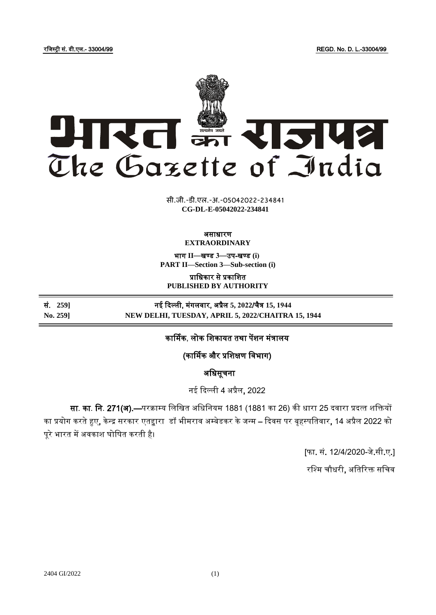रजिस्ट्री सं. डी.एल.- 33004/99 REGD. No. D. L.-33004/99



**xxxGIDHxxx xxx**GIDE**xxx CG-DL-E-05042022-234841**सी.जी.-डी.एल.-अ.-05042022-234841

## असाधारण **EXTRAORDINARY**

भाग **II**—खण् ड **3**—उप-खण् ड **(i) PART II—Section 3—Sub-section (i)**

प्राजधकार से प्रकाजित **PUBLISHED BY AUTHORITY**

सं. **259]** नई दिल्ली, मंगलिार, अप्रैल **5, 2022**/चैत्र **15, 1944 No. 259] NEW DELHI, TUESDAY, APRIL 5, 2022/CHAITRA 15, 1944**

कार्मिक, लोक शिकायत तथा पेंशन मंत्रालय

(कार्मिक और प्रजिक्षण जिभाग)

अजधसूचना

नई दिल्ली 4 अप्रैल, 2022

सा. का. नि. 271(अ).—परक्राम्य लिखित अधिनियम 1881 (1881 का 26) की धारा 25 दवारा प्रदत्त शक्तियों का प्रयोग करते हुए, केन्द्र सरकार एतद्वारा डॉ भीमराव अम्बेडकर के जन्म – दिवस पर बृहस्पतिवार, 14 अप्रैल 2022 को पूरे भारत में अवकाश घोषित करती है।

[फा. सं. 12/4/2020-िे.सी.ए.]

रश्मि चौधरी, अतिरिक्त सचिव